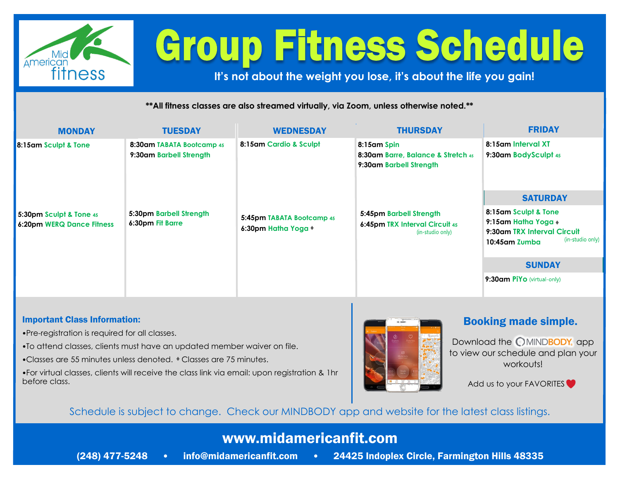

# **Group Fitness Schedule**

**It's not about the weight you lose, it's about the life you gain!**

**\*\*All fitness classes are also streamed virtually, via Zoom, unless otherwise noted.\*\***

| <b>MONDAY</b>                                                                | <b>TUESDAY</b>                                                                                      | <b>WEDNESDAY</b>                                                           | <b>THURSDAY</b>                                                                                                                                               | <b>FRIDAY</b>                                                                                                   |
|------------------------------------------------------------------------------|-----------------------------------------------------------------------------------------------------|----------------------------------------------------------------------------|---------------------------------------------------------------------------------------------------------------------------------------------------------------|-----------------------------------------------------------------------------------------------------------------|
| 8:15am Sculpt & Tone<br>5:30pm Sculpt & Tone 45<br>6:20pm WERQ Dance Fitness | 8:30am TABATA Bootcamp 45<br>9:30am Barbell Strength<br>5:30pm Barbell Strength<br>6:30pm Fit Barre | 8:15am Cardio & Sculpt<br>5:45pm TABATA Bootcamp 45<br>6:30pm Hatha Yoga + | 8:15am Spin<br>8:30am Barre, Balance & Stretch 45<br>9:30am Barbell Strength<br>5:45pm Barbell Strength<br>6:45pm TRX Interval Circuit 45<br>(in-studio only) | 8:15am Interval XT<br>9:30am BodySculpt 45                                                                      |
|                                                                              |                                                                                                     |                                                                            |                                                                                                                                                               | <b>SATURDAY</b>                                                                                                 |
|                                                                              |                                                                                                     |                                                                            |                                                                                                                                                               | 8:15am Sculpt & Tone<br>9:15am Hatha Yoga +<br>9:30am TRX Interval Circuit<br>(in-studio only)<br>10:45am Zumba |
|                                                                              |                                                                                                     |                                                                            |                                                                                                                                                               | <b>SUNDAY</b>                                                                                                   |
|                                                                              |                                                                                                     |                                                                            |                                                                                                                                                               | <b>9:30am PIYo</b> (virtual-only)                                                                               |

#### Important Class Information:

- •Pre-registration is required for all classes.
- •To attend classes, clients must have an updated member waiver on file.
- •Classes are 55 minutes unless denoted. Classes are 75 minutes.
- •For virtual classes, clients will receive the class link via email: upon registration & 1hr before class.



#### Booking made simple.

Download the **OMINDBODY**, app to view our schedule and plan your workouts!

Add us to your FAVORITES

### Schedule is subject to change. Check our MINDBODY app and website for the latest class listings.

## www.midamericanfit.com

- 
- (248) 477-5248 info@midamericanfit.com 24425 Indoplex Circle, Farmington Hills 48335